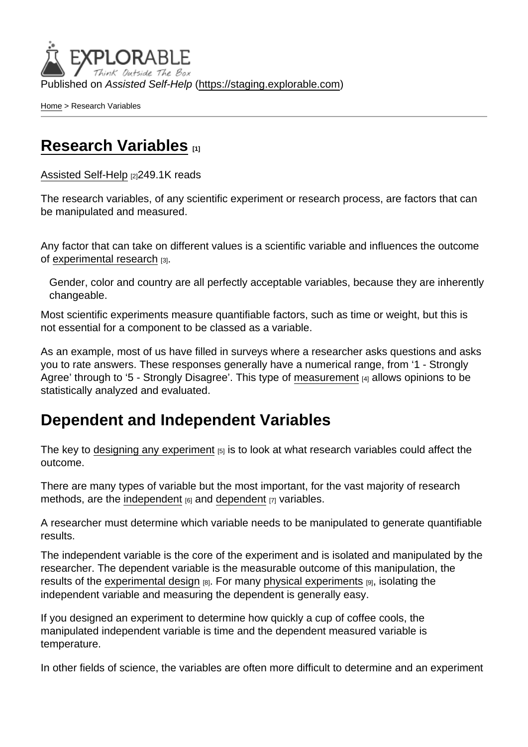Published on Assisted Self-Help [\(https://staging.explorable.com](https://staging.explorable.com))

[Home](https://staging.explorable.com/en) > Research Variables

## [Research Variables](https://staging.explorable.com/en/research-variables) [1]

[Assisted Self-Help](https://staging.explorable.com/en) [2]249.1K reads

The research variables, of any scientific experiment or research process, are factors that can be manipulated and measured.

Any factor that can take on different values is a scientific variable and influences the outcome of [experimental research](https://staging.explorable.com/experimental-research) [3].

Gender, color and country are all perfectly acceptable variables, because they are inherently changeable.

Most scientific experiments measure quantifiable factors, such as time or weight, but this is not essential for a component to be classed as a variable.

As an example, most of us have filled in surveys where a researcher asks questions and asks you to rate answers. These responses generally have a numerical range, from '1 - Strongly Agree' through to '5 - Strongly Disagree'. This type of [measurement](https://staging.explorable.com/scientific-measurements) [4] allows opinions to be statistically analyzed and evaluated.

## Dependent and Independent Variables

The key to [designing any experiment](https://staging.explorable.com/design-of-experiment)  $_{[5]}$  is to look at what research variables could affect the outcome.

There are many types of variable but the most important, for the vast majority of research methods, are the [independent](https://staging.explorable.com/independent-variable)  $_{[6]}$  and [dependent](https://staging.explorable.com/dependent-variable)  $_{[7]}$  variables.

A researcher must determine which variable needs to be manipulated to generate quantifiable results.

The independent variable is the core of the experiment and is isolated and manipulated by the researcher. The dependent variable is the measurable outcome of this manipulation, the results of the [experimental design](https://staging.explorable.com/true-experimental-design) [8]. For many [physical experiments](https://staging.explorable.com/physics-experiments) [9], isolating the independent variable and measuring the dependent is generally easy.

If you designed an experiment to determine how quickly a cup of coffee cools, the manipulated independent variable is time and the dependent measured variable is temperature.

In other fields of science, the variables are often more difficult to determine and an experiment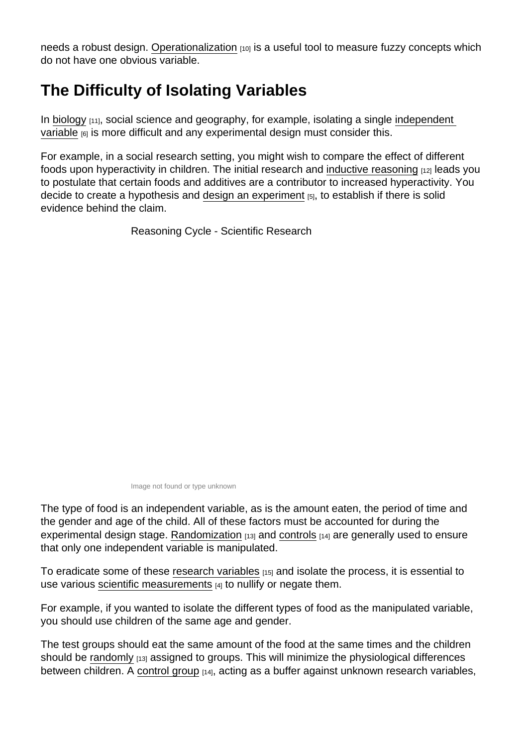needs a robust design. [Operationalization](https://staging.explorable.com/operationalization) [10] is a useful tool to measure fuzzy concepts which do not have one obvious variable.

## The Difficulty of Isolating Variables

In [biology](https://staging.explorable.com/biology-experiments)  $[11]$ , social science and geography, for example, isolating a single independent [variable](https://staging.explorable.com/independent-variable)  $[6]$  is more difficult and any experimental design must consider this.

For example, in a social research setting, you might wish to compare the effect of different foods upon hyperactivity in children. The initial research and [inductive reasoning](https://staging.explorable.com/inductive-reasoning) [12] leads you to postulate that certain foods and additives are a contributor to increased hyperactivity. You decide to create a hypothesis and [design an experiment](https://staging.explorable.com/design-of-experiment) [5], to establish if there is solid evidence behind the claim.

Reasoning Cycle - Scientific Research

Image not found or type unknown

The type of food is an independent variable, as is the amount eaten, the period of time and the gender and age of the child. All of these factors must be accounted for during the experimental design stage. [Randomization](https://staging.explorable.com/random-sampling-error)  $[13]$  and [controls](https://staging.explorable.com/scientific-control-group)  $[14]$  are generally used to ensure that only one independent variable is manipulated.

To eradicate some of these [research variables](http://www.socialresearchmethods.net/kb/variable.php) [15] and isolate the process, it is essential to use various [scientific measurements](https://staging.explorable.com/scientific-measurements) [4] to nullify or negate them.

For example, if you wanted to isolate the different types of food as the manipulated variable, you should use children of the same age and gender.

The test groups should eat the same amount of the food at the same times and the children should be [randomly](https://staging.explorable.com/random-sampling-error)  $[13]$  assigned to groups. This will minimize the physiological differences between children. A [control group](https://staging.explorable.com/scientific-control-group) [14], acting as a buffer against unknown research variables,